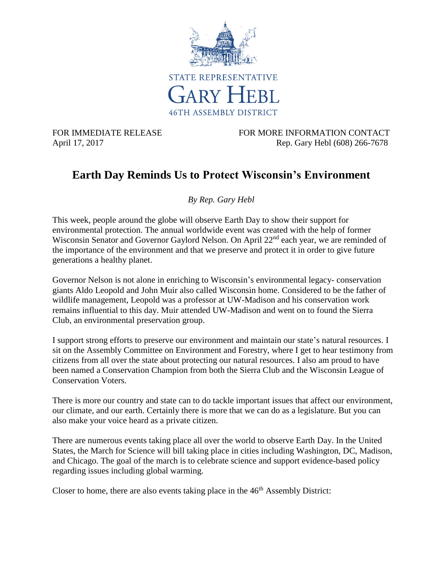

FOR IMMEDIATE RELEASE FOR MORE INFORMATION CONTACT April 17, 2017 Rep. Gary Hebl (608) 266-7678

## **Earth Day Reminds Us to Protect Wisconsin's Environment**

*By Rep. Gary Hebl*

This week, people around the globe will observe Earth Day to show their support for environmental protection. The annual worldwide event was created with the help of former Wisconsin Senator and Governor Gaylord Nelson. On April 22<sup>nd</sup> each year, we are reminded of the importance of the environment and that we preserve and protect it in order to give future generations a healthy planet.

Governor Nelson is not alone in enriching to Wisconsin's environmental legacy- conservation giants Aldo Leopold and John Muir also called Wisconsin home. Considered to be the father of wildlife management, Leopold was a professor at UW-Madison and his conservation work remains influential to this day. Muir attended UW-Madison and went on to found the Sierra Club, an environmental preservation group.

I support strong efforts to preserve our environment and maintain our state's natural resources. I sit on the Assembly Committee on Environment and Forestry, where I get to hear testimony from citizens from all over the state about protecting our natural resources. I also am proud to have been named a Conservation Champion from both the Sierra Club and the Wisconsin League of Conservation Voters.

There is more our country and state can to do tackle important issues that affect our environment, our climate, and our earth. Certainly there is more that we can do as a legislature. But you can also make your voice heard as a private citizen.

There are numerous events taking place all over the world to observe Earth Day. In the United States, the March for Science will bill taking place in cities including Washington, DC, Madison, and Chicago. The goal of the march is to celebrate science and support evidence-based policy regarding issues including global warming.

Closer to home, there are also events taking place in the  $46<sup>th</sup>$  Assembly District: